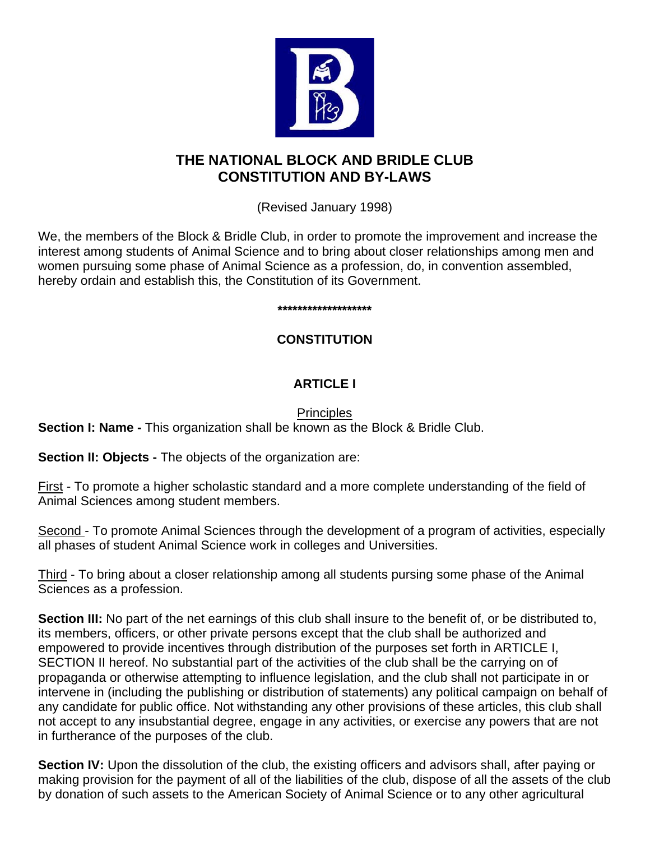

# **THE NATIONAL BLOCK AND BRIDLE CLUB CONSTITUTION AND BY-LAWS**

(Revised January 1998)

We, the members of the Block & Bridle Club, in order to promote the improvement and increase the interest among students of Animal Science and to bring about closer relationships among men and women pursuing some phase of Animal Science as a profession, do, in convention assembled, hereby ordain and establish this, the Constitution of its Government.

**\*\*\*\*\*\*\*\*\*\*\*\*\*\*\*\*\*\*\***

# **CONSTITUTION**

# **ARTICLE I**

# **Principles**

**Section I: Name -** This organization shall be known as the Block & Bridle Club.

**Section II: Objects - The objects of the organization are:** 

First - To promote a higher scholastic standard and a more complete understanding of the field of Animal Sciences among student members.

Second - To promote Animal Sciences through the development of a program of activities, especially all phases of student Animal Science work in colleges and Universities.

Third - To bring about a closer relationship among all students pursing some phase of the Animal Sciences as a profession.

**Section III:** No part of the net earnings of this club shall insure to the benefit of, or be distributed to, its members, officers, or other private persons except that the club shall be authorized and empowered to provide incentives through distribution of the purposes set forth in ARTICLE I, SECTION II hereof. No substantial part of the activities of the club shall be the carrying on of propaganda or otherwise attempting to influence legislation, and the club shall not participate in or intervene in (including the publishing or distribution of statements) any political campaign on behalf of any candidate for public office. Not withstanding any other provisions of these articles, this club shall not accept to any insubstantial degree, engage in any activities, or exercise any powers that are not in furtherance of the purposes of the club.

**Section IV:** Upon the dissolution of the club, the existing officers and advisors shall, after paying or making provision for the payment of all of the liabilities of the club, dispose of all the assets of the club by donation of such assets to the American Society of Animal Science or to any other agricultural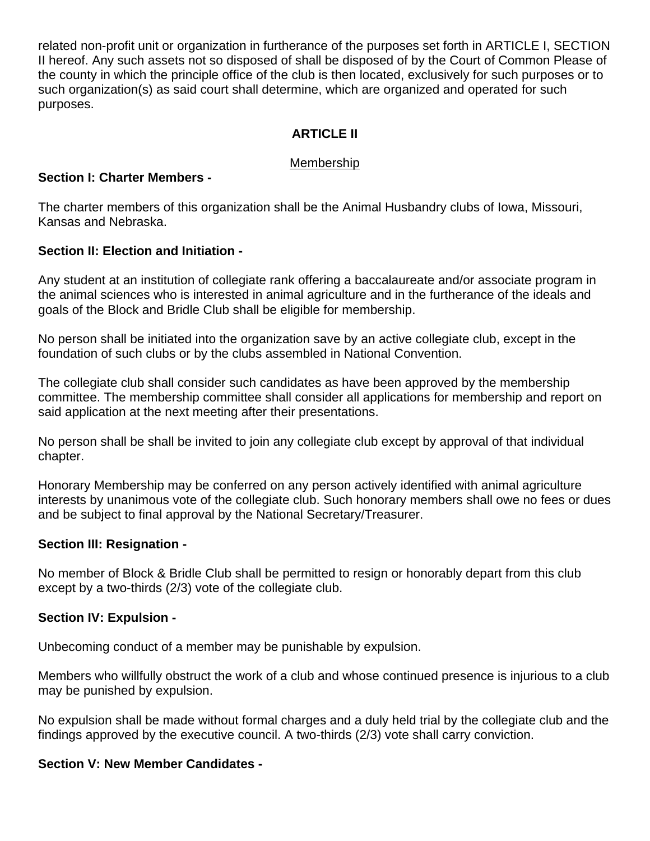related non-profit unit or organization in furtherance of the purposes set forth in ARTICLE I, SECTION II hereof. Any such assets not so disposed of shall be disposed of by the Court of Common Please of the county in which the principle office of the club is then located, exclusively for such purposes or to such organization(s) as said court shall determine, which are organized and operated for such purposes.

## **ARTICLE II**

#### Membership

#### **Section I: Charter Members -**

The charter members of this organization shall be the Animal Husbandry clubs of Iowa, Missouri, Kansas and Nebraska.

#### **Section II: Election and Initiation -**

Any student at an institution of collegiate rank offering a baccalaureate and/or associate program in the animal sciences who is interested in animal agriculture and in the furtherance of the ideals and goals of the Block and Bridle Club shall be eligible for membership.

No person shall be initiated into the organization save by an active collegiate club, except in the foundation of such clubs or by the clubs assembled in National Convention.

The collegiate club shall consider such candidates as have been approved by the membership committee. The membership committee shall consider all applications for membership and report on said application at the next meeting after their presentations.

No person shall be shall be invited to join any collegiate club except by approval of that individual chapter.

Honorary Membership may be conferred on any person actively identified with animal agriculture interests by unanimous vote of the collegiate club. Such honorary members shall owe no fees or dues and be subject to final approval by the National Secretary/Treasurer.

#### **Section III: Resignation -**

No member of Block & Bridle Club shall be permitted to resign or honorably depart from this club except by a two-thirds (2/3) vote of the collegiate club.

#### **Section IV: Expulsion -**

Unbecoming conduct of a member may be punishable by expulsion.

Members who willfully obstruct the work of a club and whose continued presence is injurious to a club may be punished by expulsion.

No expulsion shall be made without formal charges and a duly held trial by the collegiate club and the findings approved by the executive council. A two-thirds (2/3) vote shall carry conviction.

#### **Section V: New Member Candidates -**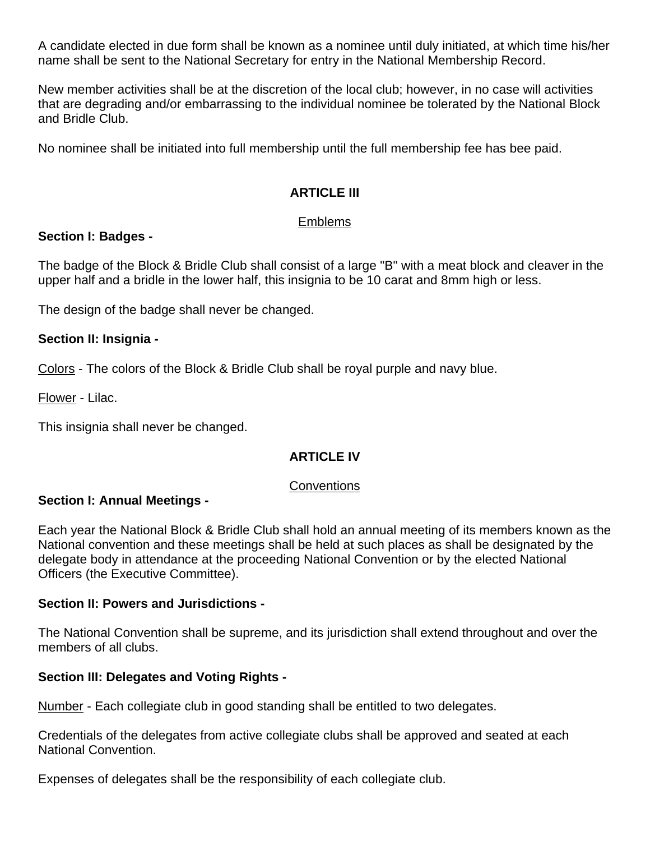A candidate elected in due form shall be known as a nominee until duly initiated, at which time his/her name shall be sent to the National Secretary for entry in the National Membership Record.

New member activities shall be at the discretion of the local club; however, in no case will activities that are degrading and/or embarrassing to the individual nominee be tolerated by the National Block and Bridle Club.

No nominee shall be initiated into full membership until the full membership fee has bee paid.

## **ARTICLE III**

#### Emblems

#### **Section I: Badges -**

The badge of the Block & Bridle Club shall consist of a large "B" with a meat block and cleaver in the upper half and a bridle in the lower half, this insignia to be 10 carat and 8mm high or less.

The design of the badge shall never be changed.

#### **Section II: Insignia -**

Colors - The colors of the Block & Bridle Club shall be royal purple and navy blue.

Flower - Lilac.

This insignia shall never be changed.

#### **ARTICLE IV**

#### **Conventions**

#### **Section I: Annual Meetings -**

Each year the National Block & Bridle Club shall hold an annual meeting of its members known as the National convention and these meetings shall be held at such places as shall be designated by the delegate body in attendance at the proceeding National Convention or by the elected National Officers (the Executive Committee).

#### **Section II: Powers and Jurisdictions -**

The National Convention shall be supreme, and its jurisdiction shall extend throughout and over the members of all clubs.

#### **Section III: Delegates and Voting Rights -**

Number - Each collegiate club in good standing shall be entitled to two delegates.

Credentials of the delegates from active collegiate clubs shall be approved and seated at each National Convention.

Expenses of delegates shall be the responsibility of each collegiate club.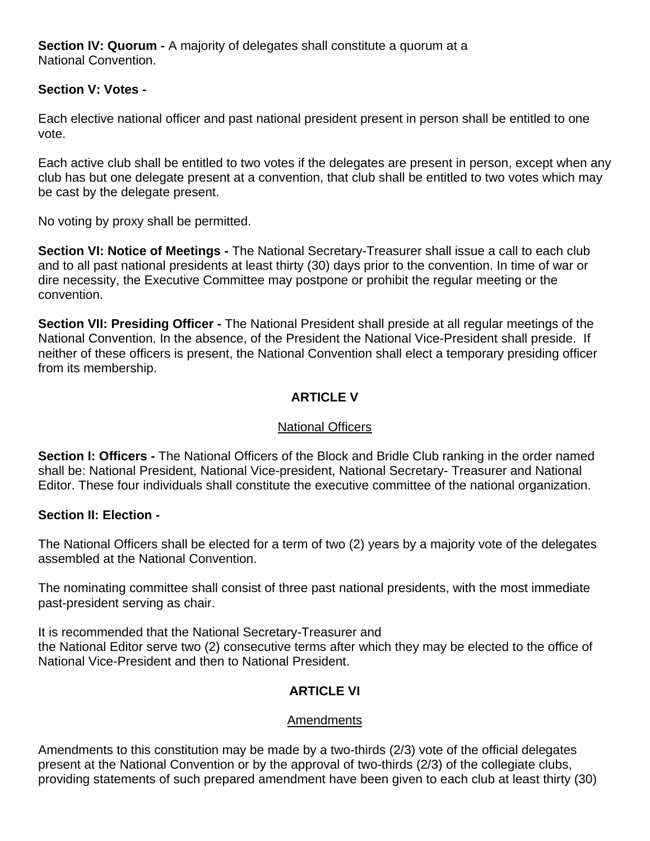**Section IV: Quorum -** A majority of delegates shall constitute a quorum at a National Convention.

#### **Section V: Votes -**

Each elective national officer and past national president present in person shall be entitled to one vote.

Each active club shall be entitled to two votes if the delegates are present in person, except when any club has but one delegate present at a convention, that club shall be entitled to two votes which may be cast by the delegate present.

No voting by proxy shall be permitted.

**Section VI: Notice of Meetings -** The National Secretary-Treasurer shall issue a call to each club and to all past national presidents at least thirty (30) days prior to the convention. In time of war or dire necessity, the Executive Committee may postpone or prohibit the regular meeting or the convention.

**Section VII: Presiding Officer -** The National President shall preside at all regular meetings of the National Convention. In the absence, of the President the National Vice-President shall preside. If neither of these officers is present, the National Convention shall elect a temporary presiding officer from its membership.

# **ARTICLE V**

#### National Officers

**Section I: Officers -** The National Officers of the Block and Bridle Club ranking in the order named shall be: National President, National Vice-president, National Secretary- Treasurer and National Editor. These four individuals shall constitute the executive committee of the national organization.

#### **Section II: Election -**

The National Officers shall be elected for a term of two (2) years by a majority vote of the delegates assembled at the National Convention.

The nominating committee shall consist of three past national presidents, with the most immediate past-president serving as chair.

It is recommended that the National Secretary-Treasurer and the National Editor serve two (2) consecutive terms after which they may be elected to the office of National Vice-President and then to National President.

#### **ARTICLE VI**

#### Amendments

Amendments to this constitution may be made by a two-thirds (2/3) vote of the official delegates present at the National Convention or by the approval of two-thirds (2/3) of the collegiate clubs, providing statements of such prepared amendment have been given to each club at least thirty (30)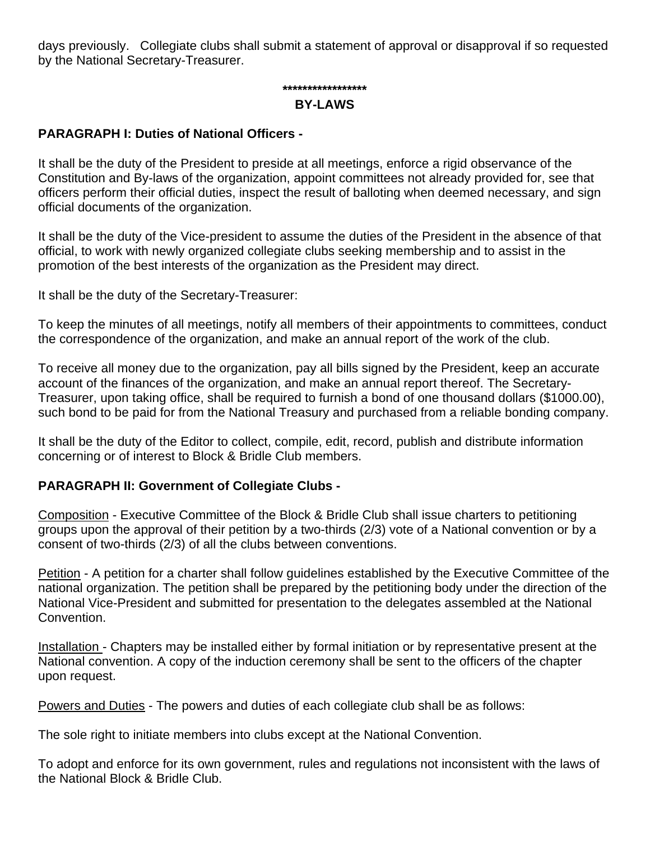days previously. Collegiate clubs shall submit a statement of approval or disapproval if so requested by the National Secretary-Treasurer.

# **\*\*\*\*\*\*\*\*\*\*\*\*\*\*\*\*\***

#### **BY-LAWS**

#### **PARAGRAPH I: Duties of National Officers -**

It shall be the duty of the President to preside at all meetings, enforce a rigid observance of the Constitution and By-laws of the organization, appoint committees not already provided for, see that officers perform their official duties, inspect the result of balloting when deemed necessary, and sign official documents of the organization.

It shall be the duty of the Vice-president to assume the duties of the President in the absence of that official, to work with newly organized collegiate clubs seeking membership and to assist in the promotion of the best interests of the organization as the President may direct.

It shall be the duty of the Secretary-Treasurer:

To keep the minutes of all meetings, notify all members of their appointments to committees, conduct the correspondence of the organization, and make an annual report of the work of the club.

To receive all money due to the organization, pay all bills signed by the President, keep an accurate account of the finances of the organization, and make an annual report thereof. The Secretary-Treasurer, upon taking office, shall be required to furnish a bond of one thousand dollars (\$1000.00), such bond to be paid for from the National Treasury and purchased from a reliable bonding company.

It shall be the duty of the Editor to collect, compile, edit, record, publish and distribute information concerning or of interest to Block & Bridle Club members.

#### **PARAGRAPH II: Government of Collegiate Clubs -**

Composition - Executive Committee of the Block & Bridle Club shall issue charters to petitioning groups upon the approval of their petition by a two-thirds (2/3) vote of a National convention or by a consent of two-thirds (2/3) of all the clubs between conventions.

Petition - A petition for a charter shall follow guidelines established by the Executive Committee of the national organization. The petition shall be prepared by the petitioning body under the direction of the National Vice-President and submitted for presentation to the delegates assembled at the National Convention.

Installation - Chapters may be installed either by formal initiation or by representative present at the National convention. A copy of the induction ceremony shall be sent to the officers of the chapter upon request.

Powers and Duties - The powers and duties of each collegiate club shall be as follows:

The sole right to initiate members into clubs except at the National Convention.

To adopt and enforce for its own government, rules and regulations not inconsistent with the laws of the National Block & Bridle Club.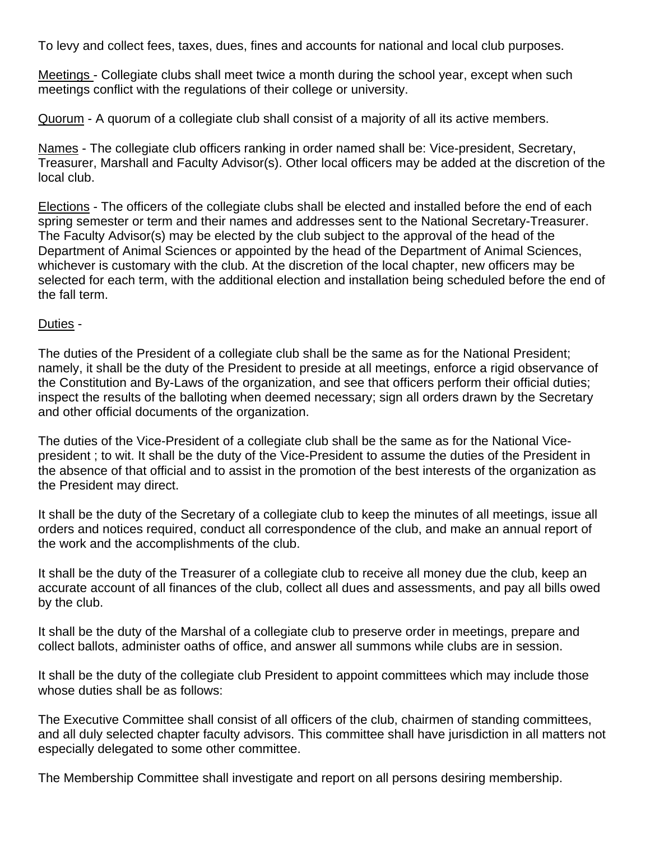To levy and collect fees, taxes, dues, fines and accounts for national and local club purposes.

Meetings - Collegiate clubs shall meet twice a month during the school year, except when such meetings conflict with the regulations of their college or university.

Quorum - A quorum of a collegiate club shall consist of a majority of all its active members.

Names - The collegiate club officers ranking in order named shall be: Vice-president, Secretary, Treasurer, Marshall and Faculty Advisor(s). Other local officers may be added at the discretion of the local club.

Elections - The officers of the collegiate clubs shall be elected and installed before the end of each spring semester or term and their names and addresses sent to the National Secretary-Treasurer. The Faculty Advisor(s) may be elected by the club subject to the approval of the head of the Department of Animal Sciences or appointed by the head of the Department of Animal Sciences, whichever is customary with the club. At the discretion of the local chapter, new officers may be selected for each term, with the additional election and installation being scheduled before the end of the fall term.

#### Duties -

The duties of the President of a collegiate club shall be the same as for the National President; namely, it shall be the duty of the President to preside at all meetings, enforce a rigid observance of the Constitution and By-Laws of the organization, and see that officers perform their official duties; inspect the results of the balloting when deemed necessary; sign all orders drawn by the Secretary and other official documents of the organization.

The duties of the Vice-President of a collegiate club shall be the same as for the National Vicepresident ; to wit. It shall be the duty of the Vice-President to assume the duties of the President in the absence of that official and to assist in the promotion of the best interests of the organization as the President may direct.

It shall be the duty of the Secretary of a collegiate club to keep the minutes of all meetings, issue all orders and notices required, conduct all correspondence of the club, and make an annual report of the work and the accomplishments of the club.

It shall be the duty of the Treasurer of a collegiate club to receive all money due the club, keep an accurate account of all finances of the club, collect all dues and assessments, and pay all bills owed by the club.

It shall be the duty of the Marshal of a collegiate club to preserve order in meetings, prepare and collect ballots, administer oaths of office, and answer all summons while clubs are in session.

It shall be the duty of the collegiate club President to appoint committees which may include those whose duties shall be as follows:

The Executive Committee shall consist of all officers of the club, chairmen of standing committees, and all duly selected chapter faculty advisors. This committee shall have jurisdiction in all matters not especially delegated to some other committee.

The Membership Committee shall investigate and report on all persons desiring membership.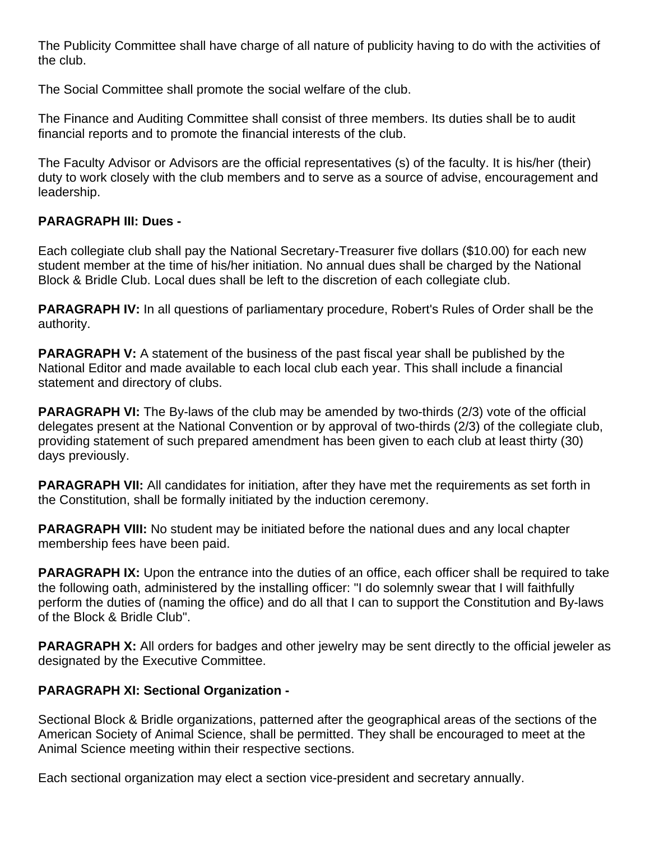The Publicity Committee shall have charge of all nature of publicity having to do with the activities of the club.

The Social Committee shall promote the social welfare of the club.

The Finance and Auditing Committee shall consist of three members. Its duties shall be to audit financial reports and to promote the financial interests of the club.

The Faculty Advisor or Advisors are the official representatives (s) of the faculty. It is his/her (their) duty to work closely with the club members and to serve as a source of advise, encouragement and leadership.

# **PARAGRAPH III: Dues -**

Each collegiate club shall pay the National Secretary-Treasurer five dollars (\$10.00) for each new student member at the time of his/her initiation. No annual dues shall be charged by the National Block & Bridle Club. Local dues shall be left to the discretion of each collegiate club.

**PARAGRAPH IV:** In all questions of parliamentary procedure, Robert's Rules of Order shall be the authority.

**PARAGRAPH V:** A statement of the business of the past fiscal year shall be published by the National Editor and made available to each local club each year. This shall include a financial statement and directory of clubs.

**PARAGRAPH VI:** The By-laws of the club may be amended by two-thirds (2/3) vote of the official delegates present at the National Convention or by approval of two-thirds (2/3) of the collegiate club, providing statement of such prepared amendment has been given to each club at least thirty (30) days previously.

**PARAGRAPH VII:** All candidates for initiation, after they have met the requirements as set forth in the Constitution, shall be formally initiated by the induction ceremony.

**PARAGRAPH VIII:** No student may be initiated before the national dues and any local chapter membership fees have been paid.

**PARAGRAPH IX:** Upon the entrance into the duties of an office, each officer shall be required to take the following oath, administered by the installing officer: "I do solemnly swear that I will faithfully perform the duties of (naming the office) and do all that I can to support the Constitution and By-laws of the Block & Bridle Club".

**PARAGRAPH X:** All orders for badges and other jewelry may be sent directly to the official jeweler as designated by the Executive Committee.

#### **PARAGRAPH XI: Sectional Organization -**

Sectional Block & Bridle organizations, patterned after the geographical areas of the sections of the American Society of Animal Science, shall be permitted. They shall be encouraged to meet at the Animal Science meeting within their respective sections.

Each sectional organization may elect a section vice-president and secretary annually.